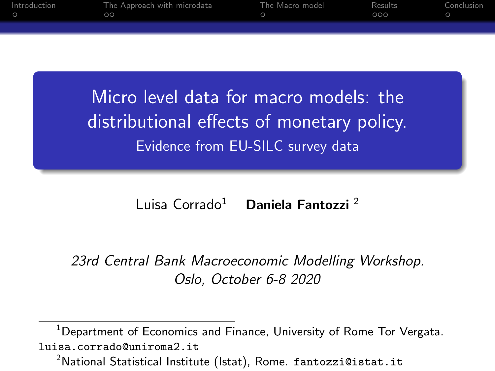| Introduction | The Approach with microdata | The Macro model | Results | Conclusion |
|--------------|-----------------------------|-----------------|---------|------------|
|              | $\circ$                     |                 | 000     |            |
|              |                             |                 |         |            |
|              |                             |                 |         |            |
|              |                             |                 |         |            |

Micro level data for macro models: the distributional effects of monetary policy. Evidence from EU-SILC survey data

Luisa Corrado<sup>1</sup> Daniela Fantozzi<sup>2</sup>

23rd Central Bank Macroeconomic Modelling Workshop. Oslo, October 6-8 2020

<sup>1</sup>Department of Economics and Finance, University of Rome Tor Vergata. luisa.corrado@uniroma2.it

<sup>2</sup>National Statistical Institute (Istat), Rome. fantozzi@istat.it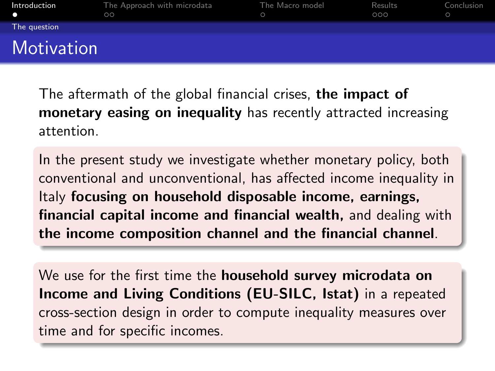<span id="page-1-0"></span>

| Introduction<br>n | The Approach with microdata<br>$\circ$ | The Macro model | Results<br>000 | Conclusion |
|-------------------|----------------------------------------|-----------------|----------------|------------|
| The question      |                                        |                 |                |            |
| Motivation        |                                        |                 |                |            |

The aftermath of the global financial crises, the impact of monetary easing on inequality has recently attracted increasing attention.

In the present study we investigate whether monetary policy, both conventional and unconventional, has affected income inequality in Italy focusing on household disposable income, earnings, financial capital income and financial wealth, and dealing with the income composition channel and the financial channel.

We use for the first time the **household survey microdata on** Income and Living Conditions (EU-SILC, Istat) in a repeated cross-section design in order to compute inequality measures over time and for specific incomes.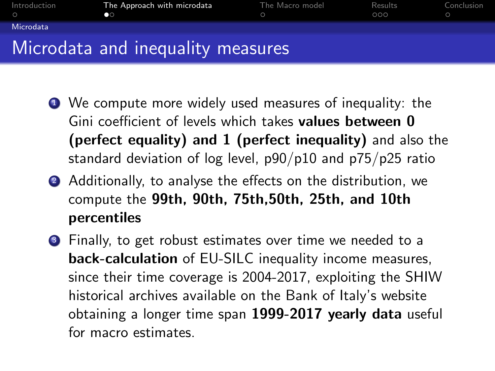<span id="page-2-0"></span>

| Introduction<br>$\bigcap$ | The Approach with microdata<br>no. | The Macro model | Results<br>000 | Conclusion |
|---------------------------|------------------------------------|-----------------|----------------|------------|
| Microdata                 |                                    |                 |                |            |
|                           | Microdata and inequality measures  |                 |                |            |

- <sup>1</sup> We compute more widely used measures of inequality: the Gini coefficient of levels which takes values between 0 (perfect equality) and 1 (perfect inequality) and also the standard deviation of log level, p90/p10 and p75/p25 ratio
- 2 Additionally, to analyse the effects on the distribution, we compute the 99th, 90th, 75th,50th, 25th, and 10th percentiles
- **3** Finally, to get robust estimates over time we needed to a back-calculation of EU-SILC inequality income measures, since their time coverage is 2004-2017, exploiting the SHIW historical archives available on the Bank of Italy's website obtaining a longer time span 1999-2017 yearly data useful for macro estimates.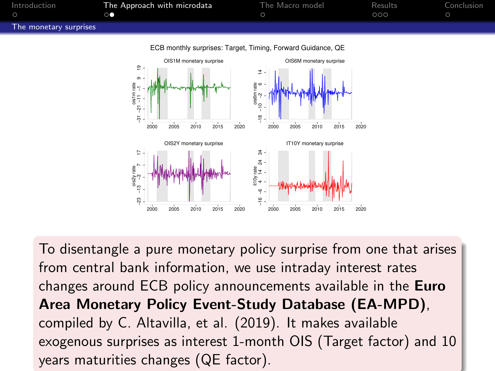<span id="page-3-0"></span>

ECB monthly surprises: Target, Timing, Forward Guidance, QE



To disentangle a pure monetary policy surprise from one that arises from central bank information, we use intraday interest rates changes around ECB policy announcements available in the Euro Area Monetary Policy Event-Study Database (EA-MPD), compiled by C. Altavilla, et al. (2019). It makes available exogenous surprises as interest 1-month OIS (Target factor) and 10 years maturities changes (QE factor).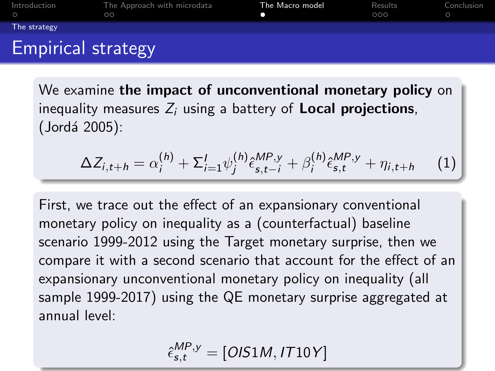<span id="page-4-0"></span>

We examine the impact of unconventional monetary policy on inequality measures  $Z_i$  using a battery of **Local projections**, (Jordá 2005):

$$
\Delta Z_{i,t+h} = \alpha_i^{(h)} + \Sigma_{i=1}^I \psi_j^{(h)} \hat{\epsilon}_{s,t-i}^{MP,y} + \beta_i^{(h)} \hat{\epsilon}_{s,t}^{MP,y} + \eta_{i,t+h} \tag{1}
$$

First, we trace out the effect of an expansionary conventional monetary policy on inequality as a (counterfactual) baseline scenario 1999-2012 using the Target monetary surprise, then we compare it with a second scenario that account for the effect of an expansionary unconventional monetary policy on inequality (all sample 1999-2017) using the QE monetary surprise aggregated at annual level:

$$
\hat{\epsilon}_{s,t}^{MP,y} = [OIS1M, IT10Y]
$$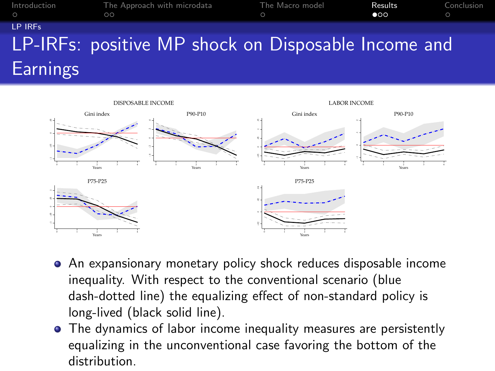<span id="page-5-0"></span>

| Introduction<br>$\bigcap$ | The Approach with microdata<br>$\circ$              | The Macro model<br>$\circ$ | Results<br>$\bullet$ | Conclusion<br>$\circ$ |
|---------------------------|-----------------------------------------------------|----------------------------|----------------------|-----------------------|
| LP IRES                   |                                                     |                            |                      |                       |
|                           | LP-IRFs: positive MP shock on Disposable Income and |                            |                      |                       |
| <b>Earnings</b>           |                                                     |                            |                      |                       |



- An expansionary monetary policy shock reduces disposable income inequality. With respect to the conventional scenario (blue dash-dotted line) the equalizing effect of non-standard policy is long-lived (black solid line).
- The dynamics of labor income inequality measures are persistently equalizing in the unconventional case favoring the bottom of the distribution.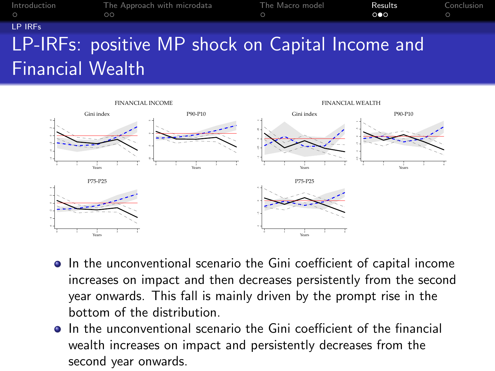| Introduction<br>$\circ$ | The Approach with microdata<br>$\circ$           | The Macro model<br>$\circ$ | Results<br>$\circ \bullet \circ$ | Conclusion<br>$\circ$ |
|-------------------------|--------------------------------------------------|----------------------------|----------------------------------|-----------------------|
| LP IRES                 |                                                  |                            |                                  |                       |
|                         | LP-IRFs: positive MP shock on Capital Income and |                            |                                  |                       |
| <b>Financial Wealth</b> |                                                  |                            |                                  |                       |



- $\bullet$  In the unconventional scenario the Gini coefficient of capital income increases on impact and then decreases persistently from the second year onwards. This fall is mainly driven by the prompt rise in the bottom of the distribution.
- In the unconventional scenario the Gini coefficient of the financial wealth increases on impact and persistently decreases from the second year onwards.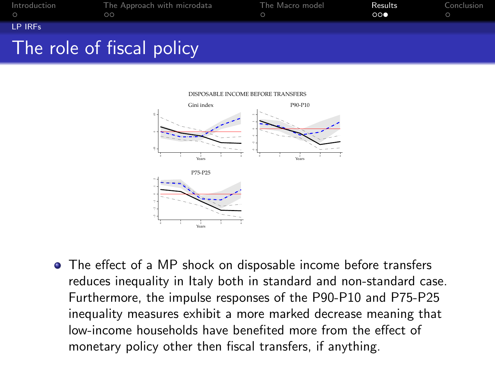| Introduction | The Approach with microdata<br>ററ | The Macro model | Results<br>000 | Conclusion |
|--------------|-----------------------------------|-----------------|----------------|------------|
| LP IRES      |                                   |                 |                |            |
|              | The role of fiscal policy         |                 |                |            |



## ME BEFORE TRANSFERS

The effect of a MP shock on disposable income before transfers reduces inequality in Italy both in standard and non-standard case. Furthermore, the impulse responses of the P90-P10 and P75-P25 inequality measures exhibit a more marked decrease meaning that low-income households have benefited more from the effect of monetary policy other then fiscal transfers, if anything.